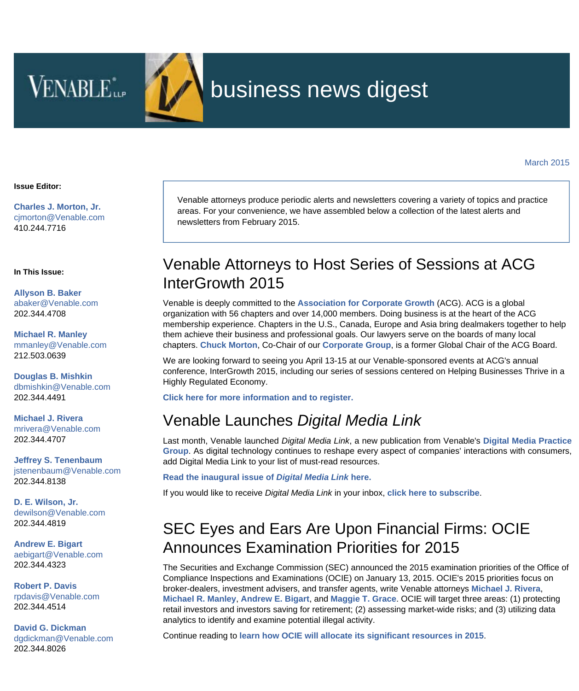**VENABLE**<sup>\*</sup>



# business news digest

**Issue Editor:**

**[Charles J. Morton, Jr.](http://www.venable.com/charles-j-morton)** [cjmorton@Venable.com](mailto:cjmorton@Venable.com) 410.244.7716

**In This Issue:**

**[Allyson B. Baker](http://www.venable.com/Allyson-B-Baker)** [abaker@Venable.com](mailto:abaker@Venable.com) 202.344.4708

**[Michael R. Manley](http://www.venable.com/Michael-R-Manley)** [mmanley@Venable.com](mailto:mmanley@Venable.com) 212.503.0639

**[Douglas B. Mishkin](http://www.venable.com/Douglas-B-Mishkin)** [dbmishkin@Venable.com](mailto:dbmishkin@Venable.com) 202.344.4491

**[Michael J. Rivera](http://www.venable.com/Michael-J-Rivera)** [mrivera@Venable.com](mailto:mrivera@Venable.com) 202.344.4707

**[Jeffrey S. Tenenbaum](http://www.venable.com/Jeffrey-S-Tenenbaum)** [jstenenbaum@Venable.com](mailto:jstenenbaum@Venable.com) 202.344.8138

**[D. E. Wilson, Jr.](http://www.venable.com/D-E-Wilson)** [dewilson@Venable.com](mailto:dewilson@Venable.com) 202.344.4819

**[Andrew E. Bigart](http://www.venable.com/Andrew-E-Bigart)** [aebigart@Venable.com](mailto:aebigart@Venable.com) 202.344.4323

**[Robert P. Davis](http://www.venable.com/Robert-P-Davis)** [rpdavis@Venable.com](mailto:rpdavis@Venable.com) 202.344.4514

**[David G. Dickman](http://www.venable.com/David-G-Dickman)** [dgdickman@Venable.com](mailto:dgdickman@Venable.com) 202.344.8026

Venable attorneys produce periodic alerts and newsletters covering a variety of topics and practice areas. For your convenience, we have assembled below a collection of the latest alerts and newsletters from February 2015.

#### Venable Attorneys to Host Series of Sessions at ACG InterGrowth 2015

Venable is deeply committed to the **[Association for Corporate Growth](http://intergrowth.org/)** (ACG). ACG is a global organization with 56 chapters and over 14,000 members. Doing business is at the heart of the ACG membership experience. Chapters in the U.S., Canada, Europe and Asia bring dealmakers together to help them achieve their business and professional goals. Our lawyers serve on the boards of many local chapters. **[Chuck Morton](http://www.venable.com/charles-j-morton/?utm_source=hubbard&utm_medium=email&utm_campaign=BND-2015-March)**, Co-Chair of our **[Corporate Group](http://www.venable.com/Corporate?utm_source=hubbard&utm_medium=email&utm_campaign=BND-2015-March)**, is a former Global Chair of the ACG Board.

We are looking forward to seeing you April 13-15 at our Venable-sponsored events at ACG's annual conference, InterGrowth 2015, including our series of sessions centered on Helping Businesses Thrive in a Highly Regulated Economy.

**[Click here for more information and to register.](http://intergrowth.org/registration/)**

#### Venable Launches *Digital Media Link*

Last month, Venable launched *Digital Media Link*, a new publication from Venable's **[Digital Media Practic](http://www.venable.com/digital-media-industries/?utm_source=hubbard&utm_medium=email&utm_campaign=BND-2015-March)e [Group](http://www.venable.com/digital-media-industries/?utm_source=hubbard&utm_medium=email&utm_campaign=BND-2015-March)**. As digital technology continues to reshape every aspect of companies' interactions with consumers, add Digital Media Link to your list of must-read resources.

**[Read the inaugural issue of](http://www.venable.com/files/Publication/b5a6fd0b-d02f-404d-a36d-5b640d8b7907/Presentation/PublicationAttachment/7e5621fb-f5c6-4335-9580-5c549eadd3c6/Digital Media Link - February 2015.pdf)** *[Digital Media Link](http://www.venable.com/files/Publication/b5a6fd0b-d02f-404d-a36d-5b640d8b7907/Presentation/PublicationAttachment/7e5621fb-f5c6-4335-9580-5c549eadd3c6/Digital Media Link - February 2015.pdf)* **[here.](http://www.venable.com/files/Publication/b5a6fd0b-d02f-404d-a36d-5b640d8b7907/Presentation/PublicationAttachment/7e5621fb-f5c6-4335-9580-5c549eadd3c6/Digital Media Link - February 2015.pdf)**

If you would like to receive *Digital Media Link* in your inbox, **[click here to subscribe](http://www.venable.com/subscriptioncenter/?utm_source=hubbard&utm_medium=email&utm_campaign=BND-2015-March)**.

## SEC Eyes and Ears Are Upon Financial Firms: OCIE Announces Examination Priorities for 2015

The Securities and Exchange Commission (SEC) announced the 2015 examination priorities of the Office of Compliance Inspections and Examinations (OCIE) on January 13, 2015. OCIE's 2015 priorities focus on broker-dealers, investment advisers, and transfer agents, write Venable attorneys **[Michael J. Rivera](http://www.venable.com/Michael-J-Rivera?utm_source=hubbard&utm_medium=email&utm_campaign=BND-2015-March)**, **[Michael R. Manley](http://www.venable.com/Michael-R-Manley?utm_source=hubbard&utm_medium=email&utm_campaign=BND-2015-March)**, **[Andrew E. Bigart](http://www.venable.com/Andrew-E-Bigart?utm_source=hubbard&utm_medium=email&utm_campaign=BND-2015-March)**, and **[Maggie T. Grace](http://www.venable.com/Maggie-T-Grace?utm_source=hubbard&utm_medium=email&utm_campaign=BND-2015-March)**. OCIE will target three areas: (1) protecting retail investors and investors saving for retirement; (2) assessing market-wide risks; and (3) utilizing data analytics to identify and examine potential illegal activity.

Continue reading to **[learn how OCIE will allocate its significant resources in 2015](http://www.venable.com/sec-eyes-and-ears-are-upon-financial-firms-ocie-announces-examination-priorities-for-2015-02-03-2015/?utm_source=hubbard&utm_medium=email&utm_campaign=BND-2015-March)**.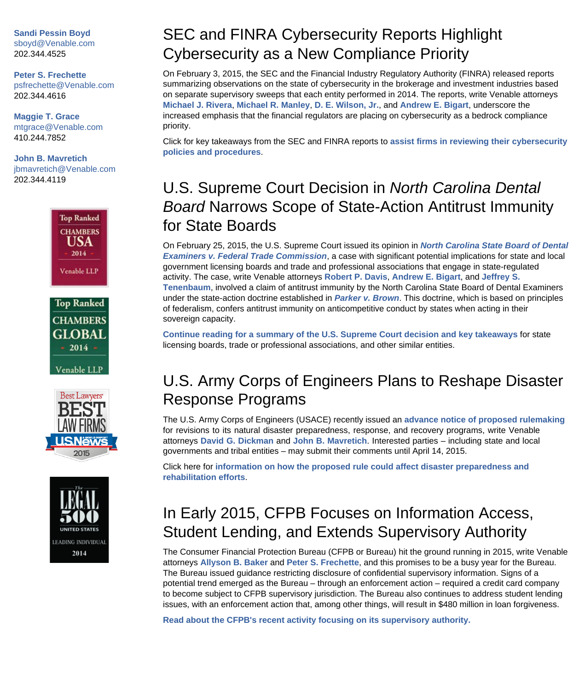**[Sandi Pessin Boyd](http://www.venable.com/Sandi-R-Pessin-Boyd)** [sboyd@Venable.com](mailto:sboyd@Venable.com) 202.344.4525

**[Peter S. Frechette](http://www.venable.com/Peter-S-Frechette)** [psfrechette@Venable.com](mailto:psfrechette@Venable.com) 202.344.4616

**[Maggie T. Grace](http://www.venable.com/Maggie-T-Grace)** [mtgrace@Venable.com](mailto:mtgrace@Venable.com) 410.244.7852

**[John B. Mavretich](http://www.venable.com/John-B-Mavretich)** [jbmavretich@Venable.com](mailto:jbmavretich@Venable.com) 202.344.4119









## SEC and FINRA Cybersecurity Reports Highlight Cybersecurity as a New Compliance Priority

On February 3, 2015, the SEC and the Financial Industry Regulatory Authority (FINRA) released reports summarizing observations on the state of cybersecurity in the brokerage and investment industries based on separate supervisory sweeps that each entity performed in 2014. The reports, write Venable attorneys **[Michael J. Rivera](http://www.venable.com/Michael-J-Rivera?utm_source=hubbard&utm_medium=email&utm_campaign=BND-2015-March)**, **[Michael R. Manley](http://www.venable.com/Michael-R-Manley?utm_source=hubbard&utm_medium=email&utm_campaign=BND-2015-March)**, **[D. E. Wilson, Jr.](http://www.venable.com/D-E-Wilson?utm_source=hubbard&utm_medium=email&utm_campaign=BND-2015-March)**, and **[Andrew E. Bigart](http://www.venable.com/Andrew-E-Bigart?utm_source=hubbard&utm_medium=email&utm_campaign=BND-2015-March)**, underscore the increased emphasis that the financial regulators are placing on cybersecurity as a bedrock compliance priority.

Click for key takeaways from the SEC and FINRA reports to **[assist firms in reviewing their cybersecurity](http://www.venable.com/sec-and-finra-cybersecurity-reports-highlight-cybersecurity-as-a-new-compliance-priority-02-24-2015/?utm_source=hubbard&utm_medium=email&utm_campaign=BND-2015-March) [policies and procedures](http://www.venable.com/sec-and-finra-cybersecurity-reports-highlight-cybersecurity-as-a-new-compliance-priority-02-24-2015/?utm_source=hubbard&utm_medium=email&utm_campaign=BND-2015-March)**.

## U.S. Supreme Court Decision in *North Carolina Dental Board* Narrows Scope of State-Action Antitrust Immunity for State Boards

On February 25, 2015, the U.S. Supreme Court issued its opinion in *[North Carolina State Board of Dental](http://www.supremecourt.gov/opinions/14pdf/13-534_19m2.pdf) [Examiners v. Federal Trade Commission](http://www.supremecourt.gov/opinions/14pdf/13-534_19m2.pdf)*, a case with significant potential implications for state and local government licensing boards and trade and professional associations that engage in state-regulated activity. The case, write Venable attorneys **[Robert P. Davis](http://www.venable.com/Robert-P-Davis?utm_source=hubbard&utm_medium=email&utm_campaign=BND-2015-March)**, **[Andrew E. Bigart](http://www.venable.com/Andrew-E-Bigart?utm_source=hubbard&utm_medium=email&utm_campaign=BND-2015-March)**, and **[Jeffrey S.](http://www.venable.com/Jeffrey-S-Tenenbaum?utm_source=hubbard&utm_medium=email&utm_campaign=BND-2015-March) [Tenenbaum](http://www.venable.com/Jeffrey-S-Tenenbaum?utm_source=hubbard&utm_medium=email&utm_campaign=BND-2015-March)**, involved a claim of antitrust immunity by the North Carolina State Board of Dental Examiners under the state-action doctrine established in *[Parker v. Brown](http://scholar.google.com/scholar_case?case=6941459492107844075&hl=en&as_sdt=6&as_vis=1&oi=scholarr)*. This doctrine, which is based on principles of federalism, confers antitrust immunity on anticompetitive conduct by states when acting in their sovereign capacity.

**[Continue reading for a summary of the U.S. Supreme Court decision and key takeaways](http://www.venable.com/us-supreme-court-decision-in-north-carolina-dental-board-narrows-scope-of-state-action-antitrust-immunity-for-state-boards-02-26-2015/?utm_source=hubbard&utm_medium=email&utm_campaign=BND-2015-March)** for state licensing boards, trade or professional associations, and other similar entities.

#### U.S. Army Corps of Engineers Plans to Reshape Disaster Response Programs

The U.S. Army Corps of Engineers (USACE) recently issued an **[advance notice of proposed rulemaking](http://www.gpo.gov/fdsys/pkg/FR-2015-02-13/pdf/2015-03033.pdf)** for revisions to its natural disaster preparedness, response, and recovery programs, write Venable attorneys **[David G. Dickman](http://www.venable.com/David-G-Dickman?utm_source=hubbard&utm_medium=email&utm_campaign=BND-2015-March)** and **[John B. Mavretich](http://www.venable.com/John-B-Mavretich?utm_source=hubbard&utm_medium=email&utm_campaign=BND-2015-March)**. Interested parties – including state and local governments and tribal entities – may submit their comments until April 14, 2015.

Click here for **[information on how the proposed rule could affect disaster preparedness and](http://www.venable.com/us-army-corps-of-engineers-plans-to-reshape-disaster-response-programs-02-25-2015/?utm_source=hubbard&utm_medium=email&utm_campaign=BND-2015-March) [rehabilitation efforts](http://www.venable.com/us-army-corps-of-engineers-plans-to-reshape-disaster-response-programs-02-25-2015/?utm_source=hubbard&utm_medium=email&utm_campaign=BND-2015-March)**.

## In Early 2015, CFPB Focuses on Information Access, Student Lending, and Extends Supervisory Authority

The Consumer Financial Protection Bureau (CFPB or Bureau) hit the ground running in 2015, write Venable attorneys **[Allyson B. Baker](http://www.venable.com/Allyson-B-Baker?utm_source=hubbard&utm_medium=email&utm_campaign=BND-2015-March)** and **[Peter S. Frechette](http://www.venable.com/Peter-S-Frechette?utm_source=hubbard&utm_medium=email&utm_campaign=BND-2015-March)**, and this promises to be a busy year for the Bureau. The Bureau issued guidance restricting disclosure of confidential supervisory information. Signs of a potential trend emerged as the Bureau – through an enforcement action – required a credit card company to become subject to CFPB supervisory jurisdiction. The Bureau also continues to address student lending issues, with an enforcement action that, among other things, will result in \$480 million in loan forgiveness.

**[Read about the CFPB's recent activity focusing on its supervisory authority.](http://www.venable.com/in-early-2015-cfpb-focuses-on-information-access-student-lending-and-extends-supervisory-authority/?utm_source=hubbard&utm_medium=email&utm_campaign=BND-2015-March)**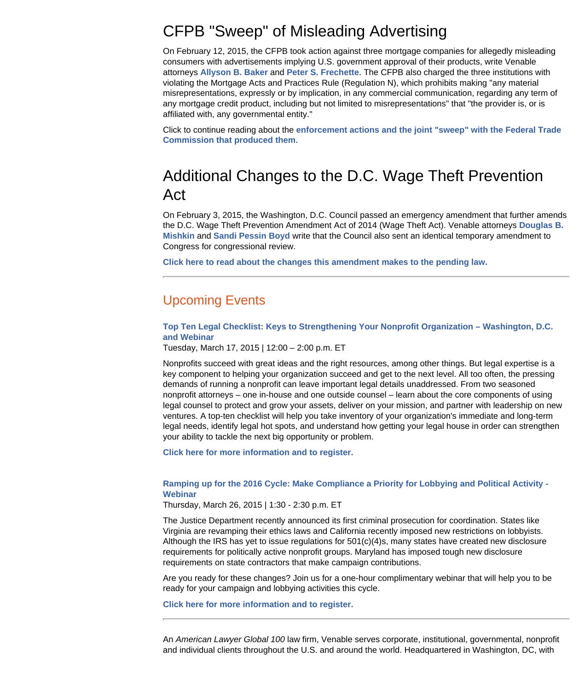#### CFPB "Sweep" of Misleading Advertising

On February 12, 2015, the CFPB took action against three mortgage companies for allegedly misleading consumers with advertisements implying U.S. government approval of their products, write Venable attorneys **[Allyson B. Baker](http://www.venable.com/Allyson-B-Baker?utm_source=hubbard&utm_medium=email&utm_campaign=BND-2015-March)** and **[Peter S. Frechette](http://www.venable.com/Peter-S-Frechette?utm_source=hubbard&utm_medium=email&utm_campaign=BND-2015-March)**. The CFPB also charged the three institutions with violating the Mortgage Acts and Practices Rule (Regulation N), which prohibits making "any material misrepresentations, expressly or by implication, in any commercial communication, regarding any term of any mortgage credit product, including but not limited to misrepresentations" that "the provider is, or is affiliated with, any governmental entity."

Click to continue reading about the **[enforcement actions and the joint "sweep" with the Federal Trade](http://www.venable.com/cfpb-sweep-of-misleading-advertising-02-27-2015/?utm_source=hubbard&utm_medium=email&utm_campaign=BND-2015-March) [Commission that produced them](http://www.venable.com/cfpb-sweep-of-misleading-advertising-02-27-2015/?utm_source=hubbard&utm_medium=email&utm_campaign=BND-2015-March)**.

#### Additional Changes to the D.C. Wage Theft Prevention Act

On February 3, 2015, the Washington, D.C. Council passed an emergency amendment that further amends the D.C. Wage Theft Prevention Amendment Act of 2014 (Wage Theft Act). Venable attorneys **[Douglas B.](http://www.venable.com/Douglas-B-Mishkin?utm_source=hubbard&utm_medium=email&utm_campaign=BND-2015-March) [Mishkin](http://www.venable.com/Douglas-B-Mishkin?utm_source=hubbard&utm_medium=email&utm_campaign=BND-2015-March)** and **[Sandi Pessin Boyd](http://www.venable.com/Sandi-R-Pessin-Boyd?utm_source=hubbard&utm_medium=email&utm_campaign=BND-2015-March)** write that the Council also sent an identical temporary amendment to Congress for congressional review.

**[Click here to read about the changes this amendment makes to the pending law.](http://www.venable.com/additional-changes-to-the-dc-wage-theft-prevention-act/?utm_source=hubbard&utm_medium=email&utm_campaign=BND-2015-March)**

#### Upcoming Events

**[Top Ten Legal Checklist: Keys to Strengthening Your Nonprofit Organization – Washington, D.C.](http://www.venable.com/top-ten-legal-checklist-keys-to-strengthening-your-nonprofit-organization-03-17-2015/?utm_source=hubbard&utm_medium=email&utm_campaign=BND-2015-March) [and Webinar](http://www.venable.com/top-ten-legal-checklist-keys-to-strengthening-your-nonprofit-organization-03-17-2015/?utm_source=hubbard&utm_medium=email&utm_campaign=BND-2015-March)**

Tuesday, March 17, 2015 | 12:00 – 2:00 p.m. ET

Nonprofits succeed with great ideas and the right resources, among other things. But legal expertise is a key component to helping your organization succeed and get to the next level. All too often, the pressing demands of running a nonprofit can leave important legal details unaddressed. From two seasoned nonprofit attorneys – one in-house and one outside counsel – learn about the core components of using legal counsel to protect and grow your assets, deliver on your mission, and partner with leadership on new ventures. A top-ten checklist will help you take inventory of your organization's immediate and long-term legal needs, identify legal hot spots, and understand how getting your legal house in order can strengthen your ability to tackle the next big opportunity or problem.

**[Click here for more information and to register.](http://events.venable.com/events/top-ten-legal-checklist-keys-to-strengthening-your-nonprofit-organization/event-summary-2fd7f5a2a96c4fb494e16c3102ca8e10.aspx)**

#### **[Ramping up for the 2016 Cycle: Make Compliance a Priority for Lobbying and Political Activity -](http://events.venable.com/d/hrq05l) [Webinar](http://events.venable.com/d/hrq05l)**

Thursday, March 26, 2015 | 1:30 - 2:30 p.m. ET

The Justice Department recently announced its first criminal prosecution for coordination. States like Virginia are revamping their ethics laws and California recently imposed new restrictions on lobbyists. Although the IRS has yet to issue regulations for  $501(c)(4)s$ , many states have created new disclosure requirements for politically active nonprofit groups. Maryland has imposed tough new disclosure requirements on state contractors that make campaign contributions.

Are you ready for these changes? Join us for a one-hour complimentary webinar that will help you to be ready for your campaign and lobbying activities this cycle.

**[Click here for more information and to register.](http://events.venable.com/d/hrq05l)**

An *American Lawyer Global 100* law firm, Venable serves corporate, institutional, governmental, nonprofit and individual clients throughout the U.S. and around the world. Headquartered in Washington, DC, with